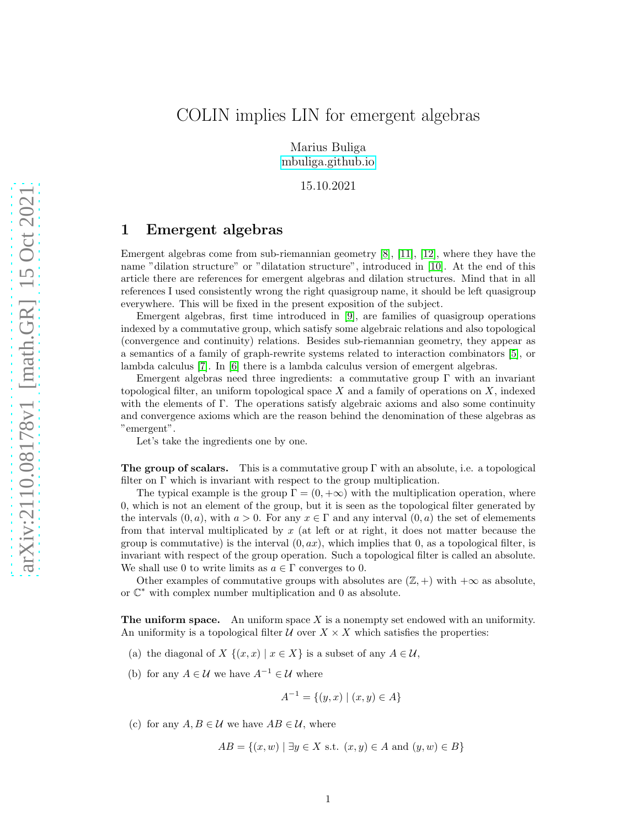# COLIN implies LIN for emergent algebras

Marius Buliga [mbuliga.github.io](https://mbuliga.github.io)

15.10.2021

### 1 Emergent algebras

Emergent algebras come from sub-riemannian geometry [\[8\]](#page-8-0), [\[11\]](#page-9-0), [\[12\]](#page-9-1), where they have the name "dilation structure" or "dilatation structure", introduced in [\[10\]](#page-8-1). At the end of this article there are references for emergent algebras and dilation structures. Mind that in all references I used consistently wrong the right quasigroup name, it should be left quasigroup everywhere. This will be fixed in the present exposition of the subject.

Emergent algebras, first time introduced in [\[9\]](#page-8-2), are families of quasigroup operations indexed by a commutative group, which satisfy some algebraic relations and also topological (convergence and continuity) relations. Besides sub-riemannian geometry, they appear as a semantics of a family of graph-rewrite systems related to interaction combinators [\[5\]](#page-8-3), or lambda calculus [\[7\]](#page-8-4). In [\[6\]](#page-8-5) there is a lambda calculus version of emergent algebras.

Emergent algebras need three ingredients: a commutative group  $\Gamma$  with an invariant topological filter, an uniform topological space  $X$  and a family of operations on  $X$ , indexed with the elements of Γ. The operations satisfy algebraic axioms and also some continuity and convergence axioms which are the reason behind the denomination of these algebras as "emergent".

Let's take the ingredients one by one.

**The group of scalars.** This is a commutative group  $\Gamma$  with an absolute, i.e. a topological filter on  $\Gamma$  which is invariant with respect to the group multiplication.

The typical example is the group  $\Gamma = (0, +\infty)$  with the multiplication operation, where 0, which is not an element of the group, but it is seen as the topological filter generated by the intervals  $(0, a)$ , with  $a > 0$ . For any  $x \in \Gamma$  and any interval  $(0, a)$  the set of elements from that interval multiplicated by  $x$  (at left or at right, it does not matter because the group is commutative) is the interval  $(0, ax)$ , which implies that 0, as a topological filter, is invariant with respect of the group operation. Such a topological filter is called an absolute. We shall use 0 to write limits as  $a \in \Gamma$  converges to 0.

Other examples of commutative groups with absolutes are  $(\mathbb{Z}, +)$  with  $+\infty$  as absolute, or C <sup>∗</sup> with complex number multiplication and 0 as absolute.

**The uniform space.** An uniform space  $X$  is a nonempty set endowed with an uniformity. An uniformity is a topological filter  $U$  over  $X \times X$  which satisfies the properties:

- (a) the diagonal of X  $\{(x, x) | x \in X\}$  is a subset of any  $A \in \mathcal{U}$ ,
- (b) for any  $A \in \mathcal{U}$  we have  $A^{-1} \in \mathcal{U}$  where

$$
A^{-1} = \{(y, x) \mid (x, y) \in A\}
$$

(c) for any  $A, B \in \mathcal{U}$  we have  $AB \in \mathcal{U}$ , where

$$
AB = \{(x, w) \mid \exists y \in X \text{ s.t. } (x, y) \in A \text{ and } (y, w) \in B\}
$$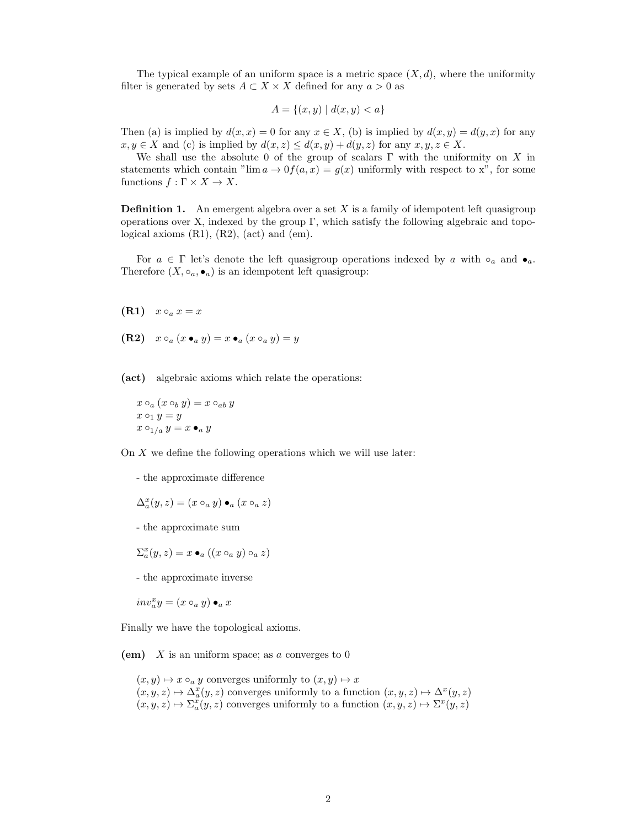The typical example of an uniform space is a metric space  $(X, d)$ , where the uniformity filter is generated by sets  $A \subset X \times X$  defined for any  $a > 0$  as

$$
A = \{(x, y) \mid d(x, y) < a\}
$$

Then (a) is implied by  $d(x, x) = 0$  for any  $x \in X$ , (b) is implied by  $d(x, y) = d(y, x)$  for any  $x, y \in X$  and (c) is implied by  $d(x, z) \leq d(x, y) + d(y, z)$  for any  $x, y, z \in X$ .

We shall use the absolute 0 of the group of scalars  $\Gamma$  with the uniformity on X in statements which contain " $\lim a \to 0$   $f(a, x) = g(x)$  uniformly with respect to x", for some functions  $f : \Gamma \times X \to X$ .

**Definition 1.** An emergent algebra over a set  $X$  is a family of idempotent left quasigroup operations over X, indexed by the group  $\Gamma$ , which satisfy the following algebraic and topological axioms  $(R1)$ ,  $(R2)$ ,  $(\text{act})$  and  $(\text{em})$ .

For  $a \in \Gamma$  let's denote the left quasigroup operations indexed by a with  $\circ_a$  and  $\bullet_a$ . Therefore  $(X, \circ_a, \bullet_a)$  is an idempotent left quasigroup:

- $(R1)$   $x \circ_a x = x$
- (R2)  $x \circ_a (x \bullet_a y) = x \bullet_a (x \circ_a y) = y$

(act) algebraic axioms which relate the operations:

$$
x \circ_a (x \circ_b y) = x \circ_{ab} y
$$
  

$$
x \circ_1 y = y
$$
  

$$
x \circ_{1/a} y = x \bullet_a y
$$

On  $X$  we define the following operations which we will use later:

- the approximate difference

$$
\Delta_a^x(y,z) = (x \circ_a y) \bullet_a (x \circ_a z)
$$

- the approximate sum

$$
\Sigma_a^x(y, z) = x \bullet_a ((x \circ_a y) \circ_a z)
$$

- the approximate inverse
- $inv_a^x y = (x \circ_a y) \bullet_a x$

Finally we have the topological axioms.

(em)  $X$  is an uniform space; as a converges to 0

 $(x, y) \mapsto x \circ_a y$  converges uniformly to  $(x, y) \mapsto x$  $(x, y, z) \mapsto \Delta_a^x(y, z)$  converges uniformly to a function  $(x, y, z) \mapsto \Delta^x(y, z)$  $(x, y, z) \mapsto \Sigma_a^x(y, z)$  converges uniformly to a function  $(x, y, z) \mapsto \Sigma^x(y, z)$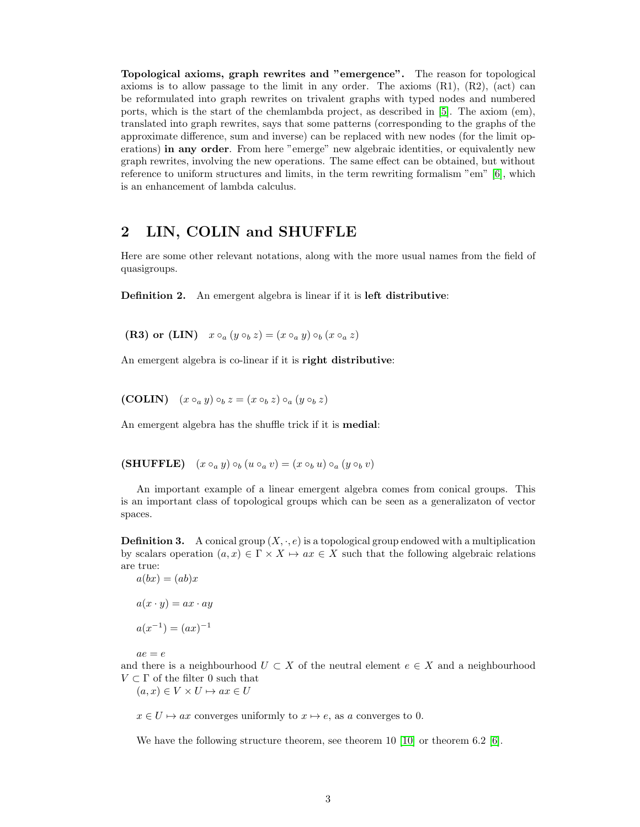Topological axioms, graph rewrites and "emergence". The reason for topological axioms is to allow passage to the limit in any order. The axioms  $(R1)$ ,  $(R2)$ ,  $(\text{act})$  can be reformulated into graph rewrites on trivalent graphs with typed nodes and numbered ports, which is the start of the chemlambda project, as described in [\[5\]](#page-8-3). The axiom (em), translated into graph rewrites, says that some patterns (corresponding to the graphs of the approximate difference, sum and inverse) can be replaced with new nodes (for the limit operations) in any order. From here "emerge" new algebraic identities, or equivalently new graph rewrites, involving the new operations. The same effect can be obtained, but without reference to uniform structures and limits, in the term rewriting formalism "em" [\[6\]](#page-8-5), which is an enhancement of lambda calculus.

## 2 LIN, COLIN and SHUFFLE

Here are some other relevant notations, along with the more usual names from the field of quasigroups.

Definition 2. An emergent algebra is linear if it is left distributive:

(R3) or (LIN)  $x \circ_a (y \circ_b z) = (x \circ_a y) \circ_b (x \circ_a z)$ 

An emergent algebra is co-linear if it is right distributive:

(COLIN)  $(x \circ_a y) \circ_b z = (x \circ_b z) \circ_a (y \circ_b z)$ 

An emergent algebra has the shuffle trick if it is medial:

(SHUFFLE)  $(x \circ_a y) \circ_b (u \circ_a v) = (x \circ_b u) \circ_a (y \circ_b v)$ 

An important example of a linear emergent algebra comes from conical groups. This is an important class of topological groups which can be seen as a generalizaton of vector spaces.

**Definition 3.** A conical group  $(X, \cdot, e)$  is a topological group endowed with a multiplication by scalars operation  $(a, x) \in \Gamma \times X \mapsto ax \in X$  such that the following algebraic relations are true:<br> $a(hx)$  $(ah)x$ 

$$
a(ox) = (ao)x
$$

$$
a(x \cdot y) = ax \cdot ay
$$

$$
a(x^{-1}) = (ax)^{-1}
$$

 $ae = e$ 

and there is a neighbourhood  $U \subset X$  of the neutral element  $e \in X$  and a neighbourhood  $V \subset \Gamma$  of the filter 0 such that

 $(a, x) \in V \times U \mapsto ax \in U$ 

 $x \in U \mapsto ax$  converges uniformly to  $x \mapsto e$ , as a converges to 0.

We have the following structure theorem, see theorem 10 [\[10\]](#page-8-1) or theorem 6.2 [\[6\]](#page-8-5).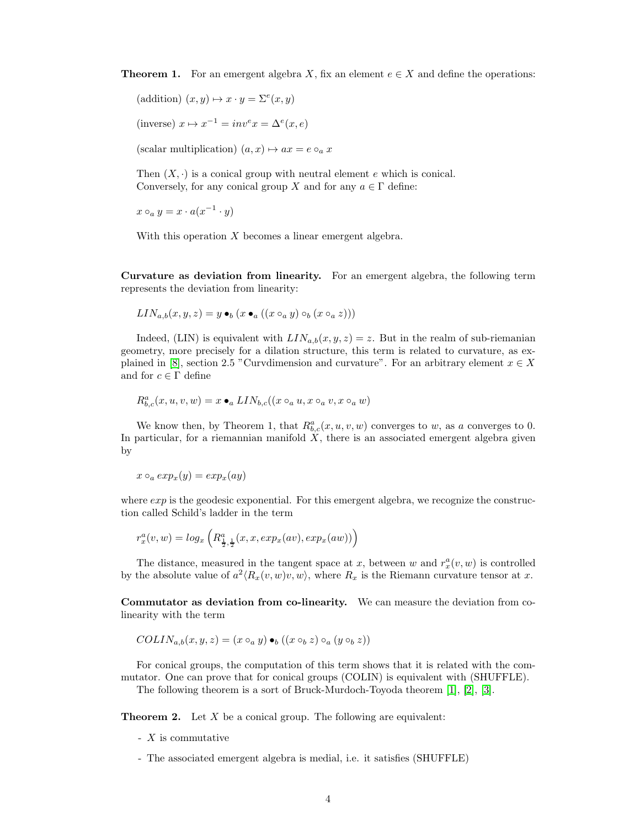**Theorem 1.** For an emergent algebra X, fix an element  $e \in X$  and define the operations:

(addition)  $(x, y) \mapsto x \cdot y = \Sigma^{e}(x, y)$ 

(inverse)  $x \mapsto x^{-1} = inv^e x = \Delta^e(x, e)$ 

(scalar multiplication)  $(a, x) \mapsto ax = e \circ_a x$ 

Then  $(X, \cdot)$  is a conical group with neutral element e which is conical. Conversely, for any conical group X and for any  $a \in \Gamma$  define:

 $x \circ_a y = x \cdot a(x^{-1} \cdot y)$ 

With this operation  $X$  becomes a linear emergent algebra.

Curvature as deviation from linearity. For an emergent algebra, the following term represents the deviation from linearity:

$$
LIN_{a,b}(x,y,z)=y\bullet_b(x\bullet_a((x\circ_a y)\circ_b(x\circ_a z)))
$$

Indeed, (LIN) is equivalent with  $LIN_{a,b}(x, y, z) = z$ . But in the realm of sub-riemanian geometry, more precisely for a dilation structure, this term is related to curvature, as ex-plained in [\[8\]](#page-8-0), section 2.5 "Curvdimension and curvature". For an arbitrary element  $x \in X$ and for  $c \in \Gamma$  define

$$
R^a_{b,c}(x,u,v,w)=x\bullet_a LIN_{b,c}((x\circ_a u,x\circ_a v,x\circ_a w)
$$

We know then, by Theorem 1, that  $R_{b,c}^a(x, u, v, w)$  converges to w, as a converges to 0. In particular, for a riemannian manifold  $X$ , there is an associated emergent algebra given by

$$
x \circ_a exp_x(y) = exp_x(ay)
$$

where  $exp$  is the geodesic exponential. For this emergent algebra, we recognize the construction called Schild's ladder in the term

$$
r_x^a(v, w) = log_x \left( R_{\frac{1}{2}, \frac{1}{2}}(x, x, exp_x(av), exp_x(aw)) \right)
$$

The distance, measured in the tangent space at x, between w and  $r_x^a(v, w)$  is controlled by the absolute value of  $a^2 \langle R_x(v, w)v, w \rangle$ , where  $R_x$  is the Riemann curvature tensor at x.

Commutator as deviation from co-linearity. We can measure the deviation from colinearity with the term

$$
COLIN_{a,b}(x, y, z) = (x \circ_a y) \bullet_b ((x \circ_b z) \circ_a (y \circ_b z))
$$

For conical groups, the computation of this term shows that it is related with the commutator. One can prove that for conical groups (COLIN) is equivalent with (SHUFFLE).

The following theorem is a sort of Bruck-Murdoch-Toyoda theorem [\[1\]](#page-8-6), [\[2\]](#page-8-7), [\[3\]](#page-8-8).

**Theorem 2.** Let  $X$  be a conical group. The following are equivalent:

- X is commutative
- The associated emergent algebra is medial, i.e. it satisfies (SHUFFLE)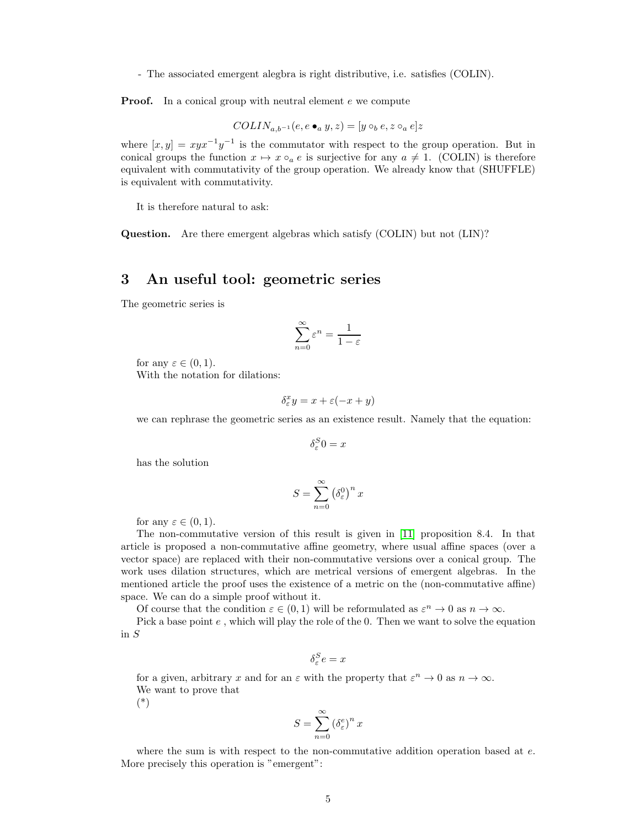- The associated emergent alegbra is right distributive, i.e. satisfies (COLIN).

**Proof.** In a conical group with neutral element e we compute

$$
COLIN_{a,b^{-1}}(e, e \bullet_a y, z) = [y \circ_b e, z \circ_a e]z
$$

where  $[x, y] = xyx^{-1}y^{-1}$  is the commutator with respect to the group operation. But in conical groups the function  $x \mapsto x \circ_a e$  is surjective for any  $a \neq 1$ . (COLIN) is therefore equivalent with commutativity of the group operation. We already know that (SHUFFLE) is equivalent with commutativity.

It is therefore natural to ask:

Question. Are there emergent algebras which satisfy (COLIN) but not (LIN)?

### 3 An useful tool: geometric series

The geometric series is

$$
\sum_{n=0}^{\infty} \varepsilon^n = \frac{1}{1-\varepsilon}
$$

for any  $\varepsilon \in (0,1)$ .

With the notation for dilations:

$$
\delta^x_{\varepsilon} y = x + \varepsilon (-x + y)
$$

we can rephrase the geometric series as an existence result. Namely that the equation:

 $\delta^S_{\varepsilon}0 = x$ 

has the solution

$$
S = \sum_{n=0}^{\infty} \left(\delta_{\varepsilon}^{0}\right)^{n} x
$$

for any  $\varepsilon \in (0,1)$ .

The non-commutative version of this result is given in [\[11\]](#page-9-0) proposition 8.4. In that article is proposed a non-commutative affine geometry, where usual affine spaces (over a vector space) are replaced with their non-commutative versions over a conical group. The work uses dilation structures, which are metrical versions of emergent algebras. In the mentioned article the proof uses the existence of a metric on the (non-commutative affine) space. We can do a simple proof without it.

Of course that the condition  $\varepsilon \in (0,1)$  will be reformulated as  $\varepsilon^n \to 0$  as  $n \to \infty$ .

Pick a base point  $e$ , which will play the role of the 0. Then we want to solve the equation in S

$$
\delta_{\varepsilon}^S e = x
$$

for a given, arbitrary x and for an  $\varepsilon$  with the property that  $\varepsilon^n \to 0$  as  $n \to \infty$ . We want to prove that

(\*)

$$
S = \sum_{n=0}^{\infty} \left(\delta_{\varepsilon}^{e}\right)^{n} x
$$

where the sum is with respect to the non-commutative addition operation based at  $e$ . More precisely this operation is "emergent":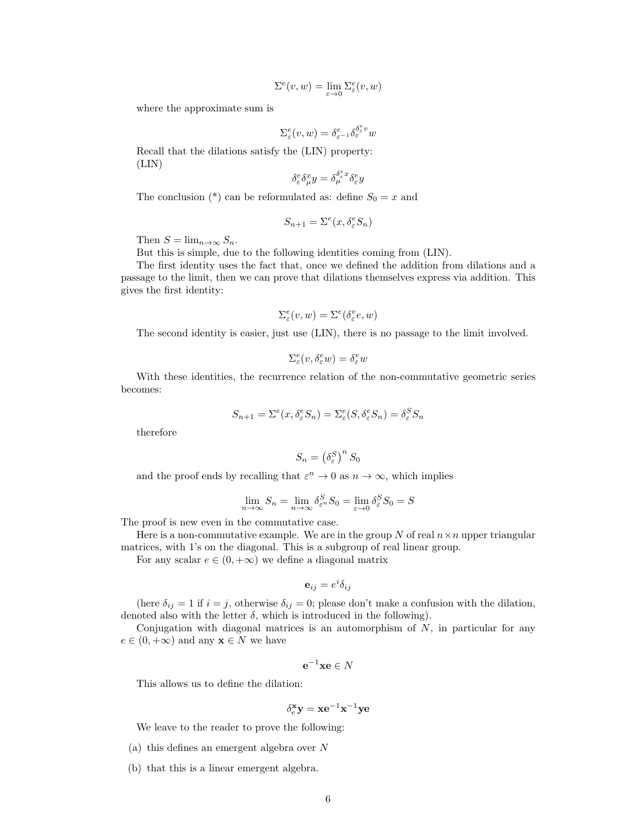$$
\Sigma^{e}(v,w)=\lim_{\varepsilon\to 0}\Sigma^{e}_{\varepsilon}(v,w)
$$

where the approximate sum is

$$
\Sigma^e_{\varepsilon}(v,w) = \delta^e_{\varepsilon^{-1}} \delta^{\delta^e_{\varepsilon}v}_{\varepsilon} w
$$

Recall that the dilations satisfy the (LIN) property: (LIN)

$$
\delta^e_\varepsilon \delta^x_\mu y = \delta^{\delta^e_\varepsilon x}_\mu \delta^e_\varepsilon y
$$

The conclusion (\*) can be reformulated as: define  $S_0 = x$  and

$$
S_{n+1} = \Sigma^e(x, \delta^e_\varepsilon S_n)
$$

Then  $S = \lim_{n \to \infty} S_n$ .

But this is simple, due to the following identities coming from (LIN).

The first identity uses the fact that, once we defined the addition from dilations and a passage to the limit, then we can prove that dilations themselves express via addition. This gives the first identity:

$$
\Sigma^e_{\varepsilon}(v, w) = \Sigma^e(\delta^v_{\varepsilon}e, w)
$$

The second identity is easier, just use (LIN), there is no passage to the limit involved.

$$
\Sigma^e_\varepsilon(v,\delta^e_\varepsilon w)=\delta^v_\varepsilon w
$$

With these identities, the recurrence relation of the non-commutative geometric series becomes:

$$
S_{n+1} = \Sigma^{e}(x, \delta_{\varepsilon}^{e} S_n) = \Sigma_{\varepsilon}^{e}(S, \delta_{\varepsilon}^{e} S_n) = \delta_{\varepsilon}^{S} S_n
$$

therefore

$$
S_n = \left(\delta_\varepsilon^S\right)^n S_0
$$

and the proof ends by recalling that  $\varepsilon^n \to 0$  as  $n \to \infty$ , which implies

$$
\lim_{n \to \infty} S_n = \lim_{n \to \infty} \delta_{\varepsilon^n}^S S_0 = \lim_{\varepsilon \to 0} \delta_{\varepsilon}^S S_0 = S
$$

The proof is new even in the commutative case.

Here is a non-commutative example. We are in the group N of real  $n \times n$  upper triangular matrices, with 1's on the diagonal. This is a subgroup of real linear group.

For any scalar  $e \in (0, +\infty)$  we define a diagonal matrix

$$
\mathbf{e}_{ij} = e^i \delta_{ij}
$$

(here  $\delta_{ij} = 1$  if  $i = j$ , otherwise  $\delta_{ij} = 0$ ; please don't make a confusion with the dilation, denoted also with the letter  $\delta$ , which is introduced in the following).

Conjugation with diagonal matrices is an automorphism of  $N$ , in particular for any  $e \in (0, +\infty)$  and any  $\mathbf{x} \in N$  we have

$$
\mathbf{e}^{-1}\mathbf{x}\mathbf{e}\in N
$$

This allows us to define the dilation:

$$
\delta_e^{\mathbf{x}}\mathbf{y}=\mathbf{x}\mathbf{e}^{-1}\mathbf{x}^{-1}\mathbf{y}\mathbf{e}
$$

We leave to the reader to prove the following:

- (a) this defines an emergent algebra over N
- (b) that this is a linear emergent algebra.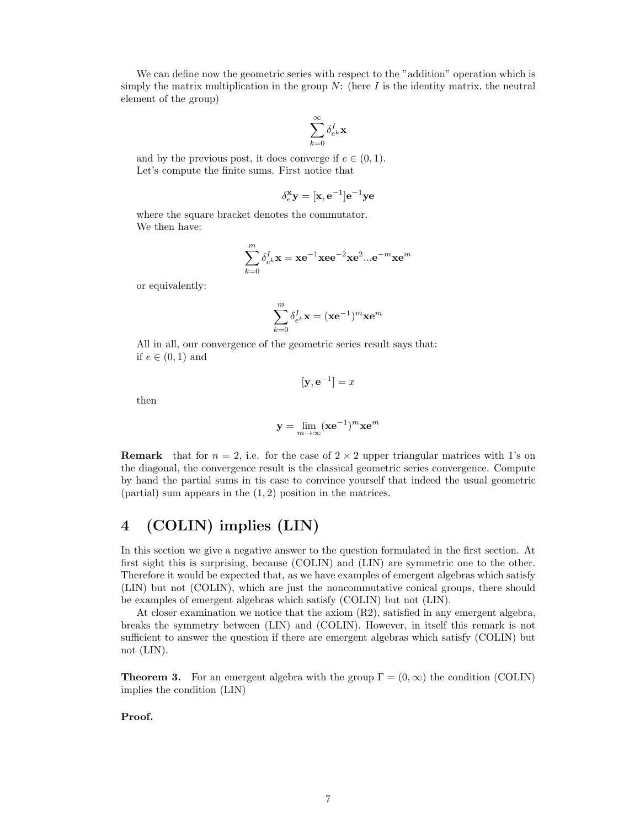We can define now the geometric series with respect to the "addition" operation which is simply the matrix multiplication in the group  $N$ : (here  $I$  is the identity matrix, the neutral element of the group)

$$
\sum_{k=0}^\infty \delta_{e^k}^I\mathbf{x}
$$

and by the previous post, it does converge if  $e \in (0, 1)$ . Let's compute the finite sums. First notice that

$$
\delta_e^{\mathbf{x}}\mathbf{y} = [\mathbf{x},\mathbf{e}^{-1}]\mathbf{e}^{-1}\mathbf{y}\mathbf{e}
$$

where the square bracket denotes the commutator. We then have:

$$
\sum_{k=0}^m \delta_{e^k}^I \mathbf{x} = \mathbf{x} e^{-1} \mathbf{x} e e^{-2} \mathbf{x} e^2 ... e^{-m} \mathbf{x} e^m
$$

or equivalently:

$$
\sum_{k=0}^m \delta_{e^k}^I \mathbf{x} = (\mathbf{x} \mathbf{e}^{-1})^m \mathbf{x} \mathbf{e}^m
$$

All in all, our convergence of the geometric series result says that: if  $e \in (0,1)$  and

$$
[\mathbf{y}, \mathbf{e}^{-1}] = x
$$

then

$$
\mathbf{y} = \lim_{m \to \infty} (\mathbf{x} \mathbf{e}^{-1})^m \mathbf{x} \mathbf{e}^m
$$

**Remark** that for  $n = 2$ , i.e. for the case of  $2 \times 2$  upper triangular matrices with 1's on the diagonal, the convergence result is the classical geometric series convergence. Compute by hand the partial sums in tis case to convince yourself that indeed the usual geometric (partial) sum appears in the  $(1, 2)$  position in the matrices.

# 4 (COLIN) implies (LIN)

In this section we give a negative answer to the question formulated in the first section. At first sight this is surprising, because (COLIN) and (LIN) are symmetric one to the other. Therefore it would be expected that, as we have examples of emergent algebras which satisfy (LIN) but not (COLIN), which are just the noncommutative conical groups, there should be examples of emergent algebras which satisfy (COLIN) but not (LIN).

At closer examination we notice that the axiom (R2), satisfied in any emergent algebra, breaks the symmetry between (LIN) and (COLIN). However, in itself this remark is not sufficient to answer the question if there are emergent algebras which satisfy (COLIN) but not (LIN).

**Theorem 3.** For an emergent algebra with the group  $\Gamma = (0, \infty)$  the condition (COLIN) implies the condition (LIN)

#### Proof.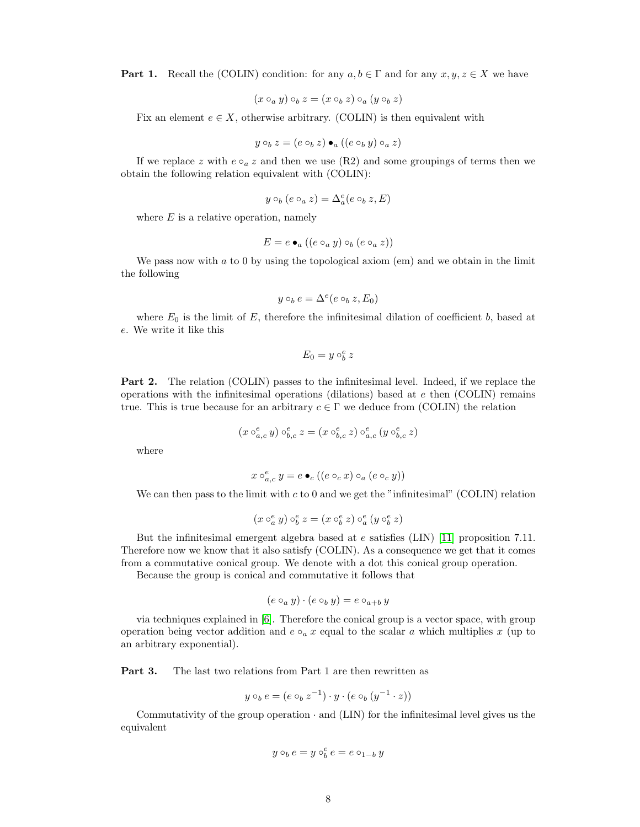**Part 1.** Recall the (COLIN) condition: for any  $a, b \in \Gamma$  and for any  $x, y, z \in X$  we have

$$
(x \circ_a y) \circ_b z = (x \circ_b z) \circ_a (y \circ_b z)
$$

Fix an element  $e \in X$ , otherwise arbitrary. (COLIN) is then equivalent with

$$
y \circ_b z = (e \circ_b z) \bullet_a ((e \circ_b y) \circ_a z)
$$

If we replace z with  $e \circ_a z$  and then we use (R2) and some groupings of terms then we obtain the following relation equivalent with (COLIN):

$$
y\circ_b(e\circ_a z)=\Delta_a^e(e\circ_b z,E)
$$

where  $E$  is a relative operation, namely

$$
E = e \bullet_a ((e \circ_a y) \circ_b (e \circ_a z))
$$

We pass now with  $a$  to 0 by using the topological axiom (em) and we obtain in the limit the following

$$
y \circ_b e = \Delta^e(e \circ_b z, E_0)
$$

where  $E_0$  is the limit of  $E$ , therefore the infinitesimal dilation of coefficient b, based at e. We write it like this

 $E_0 = y \circ_b^e z$ 

Part 2. The relation (COLIN) passes to the infinitesimal level. Indeed, if we replace the operations with the infinitesimal operations (dilations) based at  $e$  then (COLIN) remains true. This is true because for an arbitrary  $c \in \Gamma$  we deduce from (COLIN) the relation

$$
(x\circ_{a,c}^e y)\circ_{b,c}^e z=(x\circ_{b,c}^e z)\circ_{a,c}^e (y\circ_{b,c}^e z)
$$

where

$$
x \circ_{a,c}^{e} y = e \bullet_c ((e \circ_c x) \circ_a (e \circ_c y))
$$

We can then pass to the limit with  $c$  to 0 and we get the "infinitesimal" (COLIN) relation

$$
(x\circ_{a}^e y)\circ_{b}^e z=(x\circ_{b}^e z)\circ_{a}^e (y\circ_{b}^e z)
$$

But the infinitesimal emergent algebra based at  $e$  satisfies (LIN) [\[11\]](#page-9-0) proposition 7.11. Therefore now we know that it also satisfy (COLIN). As a consequence we get that it comes from a commutative conical group. We denote with a dot this conical group operation.

Because the group is conical and commutative it follows that

$$
(e \circ_a y) \cdot (e \circ_b y) = e \circ_{a+b} y
$$

via techniques explained in [\[6\]](#page-8-5). Therefore the conical group is a vector space, with group operation being vector addition and  $e \circ_a x$  equal to the scalar a which multiplies x (up to an arbitrary exponential).

Part 3. The last two relations from Part 1 are then rewritten as

$$
y \circ_b e = (e \circ_b z^{-1}) \cdot y \cdot (e \circ_b (y^{-1} \cdot z))
$$

Commutativity of the group operation · and (LIN) for the infinitesimal level gives us the equivalent

$$
y \circ_b e = y \circ_b^e e = e \circ_{1-b} y
$$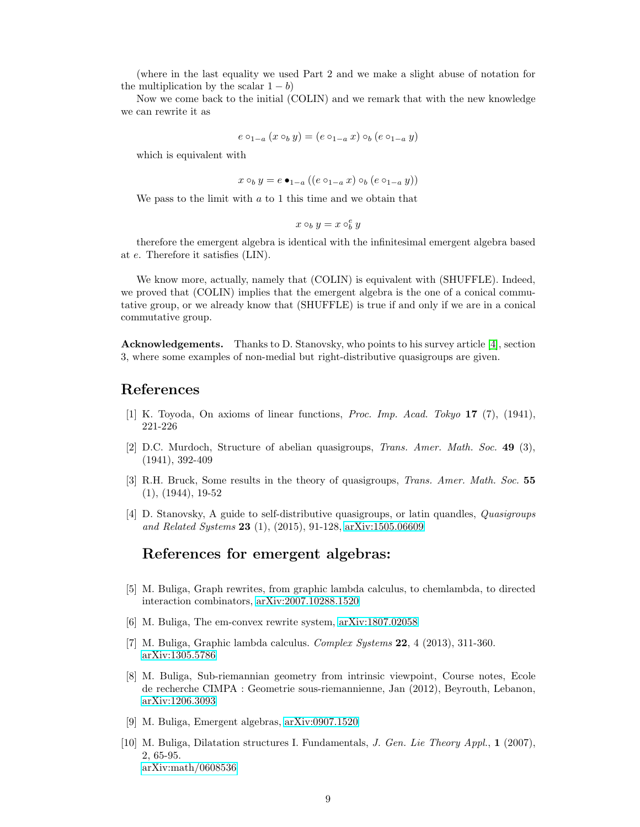(where in the last equality we used Part 2 and we make a slight abuse of notation for the multiplication by the scalar  $1 - b$ )

Now we come back to the initial (COLIN) and we remark that with the new knowledge we can rewrite it as

$$
e \circ_{1-a} (x \circ_b y) = (e \circ_{1-a} x) \circ_b (e \circ_{1-a} y)
$$

which is equivalent with

$$
x \circ_b y = e \bullet_{1-a} ((e \circ_{1-a} x) \circ_b (e \circ_{1-a} y))
$$

We pass to the limit with  $a$  to 1 this time and we obtain that

$$
x\circ_b y = x\circ_b^e y
$$

therefore the emergent algebra is identical with the infinitesimal emergent algebra based at e. Therefore it satisfies (LIN).

We know more, actually, namely that (COLIN) is equivalent with (SHUFFLE). Indeed, we proved that (COLIN) implies that the emergent algebra is the one of a conical commutative group, or we already know that (SHUFFLE) is true if and only if we are in a conical commutative group.

Acknowledgements. Thanks to D. Stanovsky, who points to his survey article [\[4\]](#page-8-9), section 3, where some examples of non-medial but right-distributive quasigroups are given.

### <span id="page-8-6"></span>References

- <span id="page-8-7"></span>[1] K. Toyoda, On axioms of linear functions, Proc. Imp. Acad. Tokyo 17 (7), (1941), 221-226
- [2] D.C. Murdoch, Structure of abelian quasigroups, Trans. Amer. Math. Soc. 49 (3), (1941), 392-409
- <span id="page-8-8"></span>[3] R.H. Bruck, Some results in the theory of quasigroups, Trans. Amer. Math. Soc. 55 (1), (1944), 19-52
- <span id="page-8-9"></span>[4] D. Stanovsky, A guide to self-distributive quasigroups, or latin quandles, Quasigroups and Related Systems 23 (1), (2015), 91-128, [arXiv:1505.06609](https://arxiv.org/abs/1505.06609)

#### References for emergent algebras:

- <span id="page-8-3"></span>[5] M. Buliga, Graph rewrites, from graphic lambda calculus, to chemlambda, to directed interaction combinators, [arXiv:2007.10288.1520](https://arxiv.org/abs/2007.10288)
- <span id="page-8-5"></span><span id="page-8-4"></span>[6] M. Buliga, The em-convex rewrite system, [arXiv:1807.02058](https://arxiv.org/abs/1807.02058)
- <span id="page-8-0"></span>[7] M. Buliga, Graphic lambda calculus. Complex Systems 22, 4 (2013), 311-360. [arXiv:1305.5786](https://arxiv.org/abs/1305.5786)
- [8] M. Buliga, Sub-riemannian geometry from intrinsic viewpoint, Course notes, Ecole de recherche CIMPA : Geometrie sous-riemannienne, Jan (2012), Beyrouth, Lebanon, [arXiv:1206.3093](https://arxiv.org/abs/1206.3093)
- <span id="page-8-2"></span><span id="page-8-1"></span>[9] M. Buliga, Emergent algebras, [arXiv:0907.1520](https://arxiv.org/abs/0907.1520)
- [10] M. Buliga, Dilatation structures I. Fundamentals, J. Gen. Lie Theory Appl., 1 (2007), 2, 65-95. [arXiv:math/0608536](https://arxiv.org/abs/math/0608536)